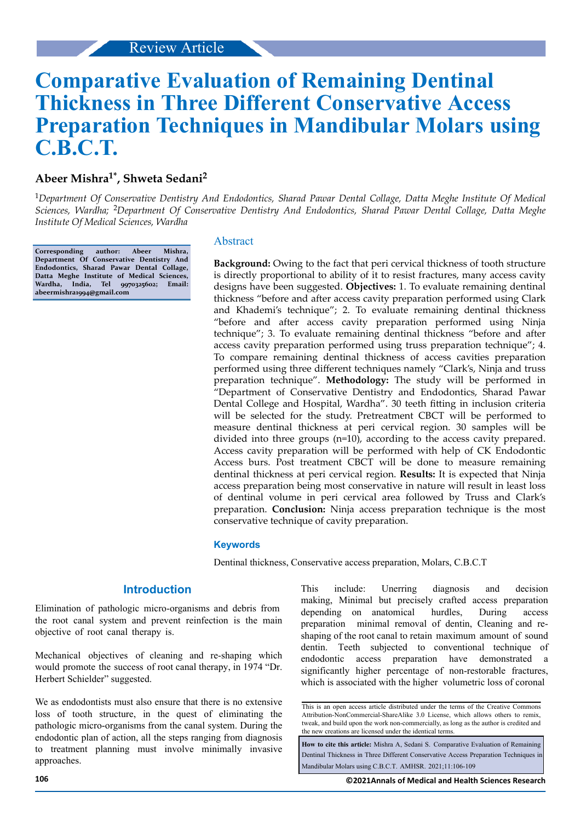# **Comparative Evaluation of Remaining Dentinal Thickness in Three Different Conservative Access Preparation Techniques in Mandibular Molars using C.B.C.T.**

# **Abeer Mishra1\*, Shweta Sedani<sup>2</sup>**

<sup>1</sup>*Department Of Conservative Dentistry And Endodontics, Sharad Pawar Dental Collage, Datta Meghe Institute Of Medical Sciences, Wardha;* 2*Department Of Conservative Dentistry And Endodontics, Sharad Pawar Dental Collage, Datta Meghe Institute Of Medical Sciences, Wardha*

**Corresponding author: Abeer Mishra, Department Of Conservative Dentistry And Endodontics, Sharad Pawar Dental Collage, Datta Meghe Institute of Medical Sciences, Wardha, India, Tel 9970325602; Email: abeermishra1994@gmail.com**

#### Abstract

**Background:** Owing to the fact that peri cervical thickness of tooth structure is directly proportional to ability of it to resist fractures, many access cavity designs have been suggested. **Objectives:** 1. To evaluate remaining dentinal thickness "before and after access cavity preparation performed using Clark and Khademi's technique"; 2. To evaluate remaining dentinal thickness "before and after access cavity preparation performed using Ninja technique"; 3. To evaluate remaining dentinal thickness "before and after access cavity preparation performed using truss preparation technique"; 4. To compare remaining dentinal thickness of access cavities preparation performed using three different techniques namely "Clark's, Ninja and truss preparation technique". **Methodology:** The study will be performed in "Department of Conservative Dentistry and Endodontics, Sharad Pawar Dental College and Hospital, Wardha". 30 teeth fitting in inclusion criteria will be selected for the study. Pretreatment CBCT will be performed to measure dentinal thickness at peri cervical region. 30 samples will be divided into three groups (n=10), according to the access cavity prepared. Access cavity preparation will be performed with help of CK Endodontic Access burs. Post treatment CBCT will be done to measure remaining dentinal thickness at peri cervical region. **Results:** It is expected that Ninja access preparation being most conservative in nature will result in least loss of dentinal volume in peri cervical area followed by Truss and Clark's preparation. **Conclusion:** Ninja access preparation technique is the most conservative technique of cavity preparation.

### **Keywords**

Dentinal thickness, Conservative access preparation, Molars, C.B.C.T

### **Introduction**

Elimination of pathologic micro-organisms and debris from the root canal system and prevent reinfection is the main objective of root canal therapy is.

Mechanical objectives of cleaning and re-shaping which would promote the success of root canal therapy, in 1974 "Dr. Herbert Schielder" suggested.

We as endodontists must also ensure that there is no extensive loss of tooth structure, in the quest of eliminating the pathologic micro-organisms from the canal system. During the endodontic plan of action, all the steps ranging from diagnosis to treatment planning must involve minimally invasive approaches.

This include: Unerring diagnosis and decision making, Minimal but precisely crafted access preparation depending on anatomical hurdles, During access preparation minimal removal of dentin, Cleaning and reshaping of the root canal to retain maximum amount of sound dentin. Teeth subjected to conventional technique of endodontic access preparation have demonstrated a significantly higher percentage of non-restorable fractures, which is associated with the higher volumetric loss of coronal

**How to cite this article:** Mishra A, Sedani S. Comparative Evaluation of Remaining Dentinal Thickness in Three Different Conservative Access Preparation Techniques in Mandibular Molars using C.B.C.T. AMHSR. 2021;11:106-109

This is an open access article distributed under the terms of the Creative Commons Attribution-NonCommercial-ShareAlike 3.0 License, which allows others to remix, tweak, and build upon the work non‑commercially, as long as the author is credited and the new creations are licensed under the identical terms.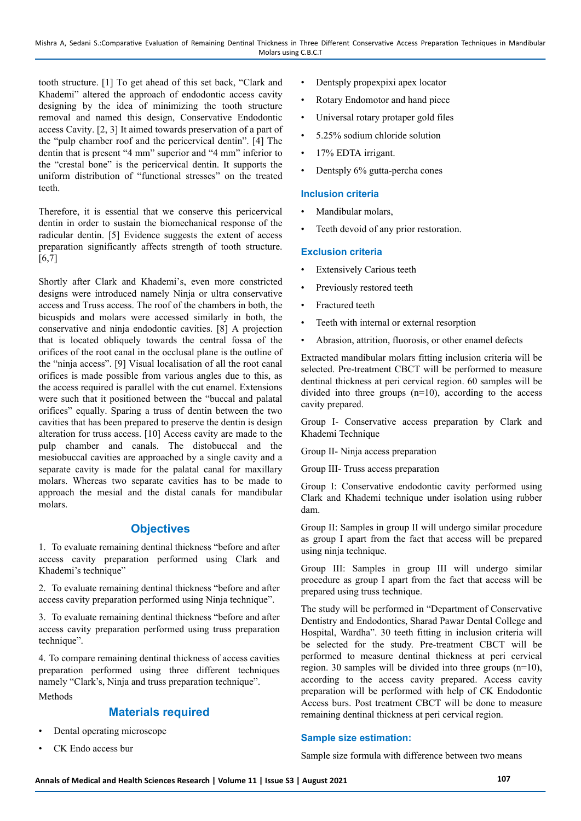tooth structure. [1] To get ahead of this set back, "Clark and Khademi" altered the approach of endodontic access cavity designing by the idea of minimizing the tooth structure removal and named this design, Conservative Endodontic access Cavity. [2, 3] It aimed towards preservation of a part of the "pulp chamber roof and the pericervical dentin". [4] The dentin that is present "4 mm" superior and "4 mm" inferior to the "crestal bone" is the pericervical dentin. It supports the uniform distribution of "functional stresses" on the treated teeth.

Therefore, it is essential that we conserve this pericervical dentin in order to sustain the biomechanical response of the radicular dentin. [5] Evidence suggests the extent of access preparation significantly affects strength of tooth structure.  $[6,7]$ 

Shortly after Clark and Khademi's, even more constricted designs were introduced namely Ninja or ultra conservative access and Truss access. The roof of the chambers in both, the bicuspids and molars were accessed similarly in both, the conservative and ninja endodontic cavities. [8] A projection that is located obliquely towards the central fossa of the orifices of the root canal in the occlusal plane is the outline of the "ninja access". [9] Visual localisation of all the root canal orifices is made possible from various angles due to this, as the access required is parallel with the cut enamel. Extensions were such that it positioned between the "buccal and palatal orifices" equally. Sparing a truss of dentin between the two cavities that has been prepared to preserve the dentin is design alteration for truss access. [10] Access cavity are made to the pulp chamber and canals. The distobuccal and the mesiobuccal cavities are approached by a single cavity and a separate cavity is made for the palatal canal for maxillary molars. Whereas two separate cavities has to be made to approach the mesial and the distal canals for mandibular molars.

## **Objectives**

1. To evaluate remaining dentinal thickness "before and after access cavity preparation performed using Clark and Khademi's technique"

2. To evaluate remaining dentinal thickness "before and after access cavity preparation performed using Ninja technique".

3. To evaluate remaining dentinal thickness "before and after access cavity preparation performed using truss preparation technique".

4. To compare remaining dentinal thickness of access cavities preparation performed using three different techniques namely "Clark's, Ninja and truss preparation technique". Methods

# **Materials required**

- Dental operating microscope
- CK Endo access bur
- Dentsply propexpixi apex locator
- Rotary Endomotor and hand piece
- Universal rotary protaper gold files
- 5.25% sodium chloride solution
- 17% EDTA irrigant.
- Dentsply 6% gutta-percha cones

### **Inclusion criteria**

- Mandibular molars,
- Teeth devoid of any prior restoration.

### **Exclusion criteria**

- **Extensively Carious teeth**
- Previously restored teeth
- Fractured teeth
- Teeth with internal or external resorption
- Abrasion, attrition, fluorosis, or other enamel defects

Extracted mandibular molars fitting inclusion criteria will be selected. Pre-treatment CBCT will be performed to measure dentinal thickness at peri cervical region. 60 samples will be divided into three groups (n=10), according to the access cavity prepared.

Group I- Conservative access preparation by Clark and Khademi Technique

Group II- Ninja access preparation

Group III- Truss access preparation

Group I: Conservative endodontic cavity performed using Clark and Khademi technique under isolation using rubber dam.

Group II: Samples in group II will undergo similar procedure as group I apart from the fact that access will be prepared using ninja technique.

Group III: Samples in group III will undergo similar procedure as group I apart from the fact that access will be prepared using truss technique.

The study will be performed in "Department of Conservative Dentistry and Endodontics, Sharad Pawar Dental College and Hospital, Wardha". 30 teeth fitting in inclusion criteria will be selected for the study. Pre-treatment CBCT will be performed to measure dentinal thickness at peri cervical region. 30 samples will be divided into three groups  $(n=10)$ , according to the access cavity prepared. Access cavity preparation will be performed with help of CK Endodontic Access burs. Post treatment CBCT will be done to measure remaining dentinal thickness at peri cervical region.

### **Sample size estimation:**

Sample size formula with difference between two means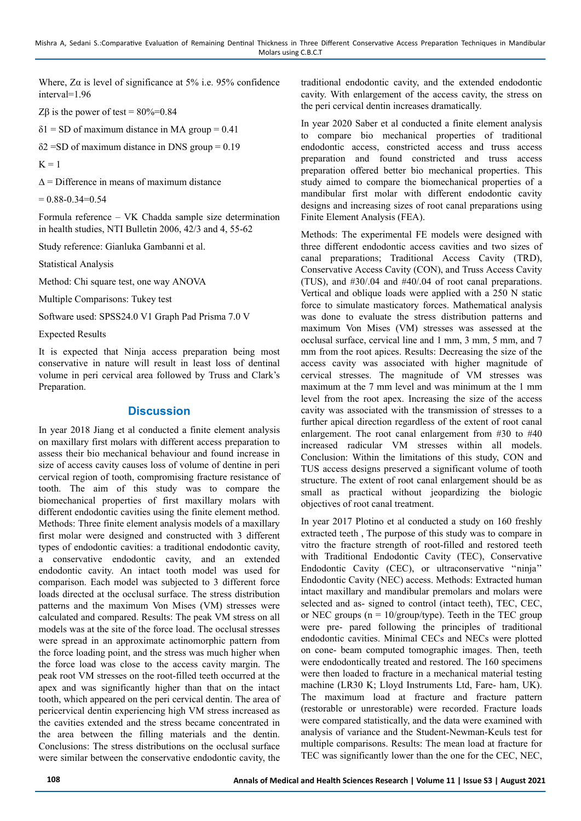Where,  $Z\alpha$  is level of significance at 5% i.e. 95% confidence interval=1.96

Z $\beta$  is the power of test = 80%=0.84

 $\delta$ 1 = SD of maximum distance in MA group = 0.41

 $\delta$ 2 = SD of maximum distance in DNS group = 0.19

 $K = 1$ 

 $\Lambda$  = Difference in means of maximum distance

 $= 0.88 - 0.34 = 0.54$ 

Formula reference – VK Chadda sample size determination in health studies, NTI Bulletin 2006, 42/3 and 4, 55-62

Study reference: Gianluka Gambanni et al.

Statistical Analysis

Method: Chi square test, one way ANOVA

Multiple Comparisons: Tukey test

Software used: SPSS24.0 V1 Graph Pad Prisma 7.0 V

Expected Results

It is expected that Ninja access preparation being most conservative in nature will result in least loss of dentinal volume in peri cervical area followed by Truss and Clark's Preparation.

### **Discussion**

In year 2018 Jiang et al conducted a finite element analysis on maxillary first molars with different access preparation to assess their bio mechanical behaviour and found increase in size of access cavity causes loss of volume of dentine in peri cervical region of tooth, compromising fracture resistance of tooth. The aim of this study was to compare the biomechanical properties of first maxillary molars with different endodontic cavities using the finite element method. Methods: Three finite element analysis models of a maxillary first molar were designed and constructed with 3 different types of endodontic cavities: a traditional endodontic cavity, a conservative endodontic cavity, and an extended endodontic cavity. An intact tooth model was used for comparison. Each model was subjected to 3 different force loads directed at the occlusal surface. The stress distribution patterns and the maximum Von Mises (VM) stresses were calculated and compared. Results: The peak VM stress on all models was at the site of the force load. The occlusal stresses were spread in an approximate actinomorphic pattern from the force loading point, and the stress was much higher when the force load was close to the access cavity margin. The peak root VM stresses on the root-filled teeth occurred at the apex and was significantly higher than that on the intact tooth, which appeared on the peri cervical dentin. The area of pericervical dentin experiencing high VM stress increased as the cavities extended and the stress became concentrated in the area between the filling materials and the dentin. Conclusions: The stress distributions on the occlusal surface were similar between the conservative endodontic cavity, the

traditional endodontic cavity, and the extended endodontic cavity. With enlargement of the access cavity, the stress on the peri cervical dentin increases dramatically.

In year 2020 Saber et al conducted a finite element analysis to compare bio mechanical properties of traditional endodontic access, constricted access and truss access preparation and found constricted and truss access preparation offered better bio mechanical properties. This study aimed to compare the biomechanical properties of a mandibular first molar with different endodontic cavity designs and increasing sizes of root canal preparations using Finite Element Analysis (FEA).

Methods: The experimental FE models were designed with three different endodontic access cavities and two sizes of canal preparations; Traditional Access Cavity (TRD), Conservative Access Cavity (CON), and Truss Access Cavity (TUS), and #30/.04 and #40/.04 of root canal preparations. Vertical and oblique loads were applied with a 250 N static force to simulate masticatory forces. Mathematical analysis was done to evaluate the stress distribution patterns and maximum Von Mises (VM) stresses was assessed at the occlusal surface, cervical line and 1 mm, 3 mm, 5 mm, and 7 mm from the root apices. Results: Decreasing the size of the access cavity was associated with higher magnitude of cervical stresses. The magnitude of VM stresses was maximum at the 7 mm level and was minimum at the 1 mm level from the root apex. Increasing the size of the access cavity was associated with the transmission of stresses to a further apical direction regardless of the extent of root canal enlargement. The root canal enlargement from #30 to #40 increased radicular VM stresses within all models. Conclusion: Within the limitations of this study, CON and TUS access designs preserved a significant volume of tooth structure. The extent of root canal enlargement should be as small as practical without jeopardizing the biologic objectives of root canal treatment.

In year 2017 Plotino et al conducted a study on 160 freshly extracted teeth , The purpose of this study was to compare in vitro the fracture strength of root-filled and restored teeth with Traditional Endodontic Cavity (TEC), Conservative Endodontic Cavity (CEC), or ultraconservative ''ninja'' Endodontic Cavity (NEC) access. Methods: Extracted human intact maxillary and mandibular premolars and molars were selected and as- signed to control (intact teeth), TEC, CEC, or NEC groups ( $n = 10$ /group/type). Teeth in the TEC group were pre- pared following the principles of traditional endodontic cavities. Minimal CECs and NECs were plotted on cone- beam computed tomographic images. Then, teeth were endodontically treated and restored. The 160 specimens were then loaded to fracture in a mechanical material testing machine (LR30 K; Lloyd Instruments Ltd, Fare- ham, UK). The maximum load at fracture and fracture pattern (restorable or unrestorable) were recorded. Fracture loads were compared statistically, and the data were examined with analysis of variance and the Student-Newman-Keuls test for multiple comparisons. Results: The mean load at fracture for TEC was significantly lower than the one for the CEC, NEC,